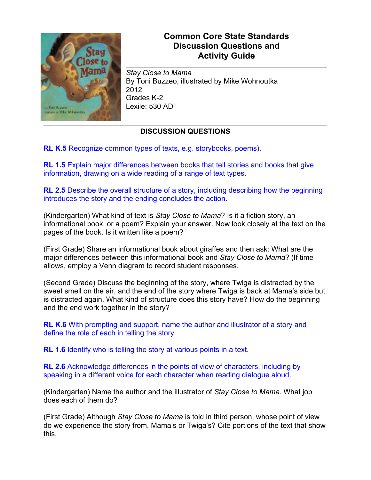

## **Common Core State Standards Discussion Questions and Activity Guide**

*Stay Close to Mama* By Toni Buzzeo, illustrated by Mike Wohnoutka 2012 Grades K-2 Lexile: 530 AD

## **DISCUSSION QUESTIONS**

**RL K.5** Recognize common types of texts, e.g. storybooks, poems).

**RL 1.5** Explain major differences between books that tell stories and books that give information, drawing on a wide reading of a range of text types.

**RL 2.5** Describe the overall structure of a story, including describing how the beginning introduces the story and the ending concludes the action.

(Kindergarten) What kind of text is *Stay Close to Mama*? Is it a fiction story, an informational book, or a poem? Explain your answer. Now look closely at the text on the pages of the book. Is it written like a poem?

(First Grade) Share an informational book about giraffes and then ask: What are the major differences between this informational book and *Stay Close to Mama*? (If time allows, employ a Venn diagram to record student responses.

(Second Grade) Discuss the beginning of the story, where Twiga is distracted by the sweet smell on the air, and the end of the story where Twiga is back at Mama's side but is distracted again. What kind of structure does this story have? How do the beginning and the end work together in the story?

**RL K.6** With prompting and support, name the author and illustrator of a story and define the role of each in telling the story

**RL 1.6** Identify who is telling the story at various points in a text.

**RL 2.6** Acknowledge differences in the points of view of characters, including by speaking in a different voice for each character when reading dialogue aloud.

(Kindergarten) Name the author and the illustrator of *Stay Close to Mama*. What job does each of them do?

(First Grade) Although *Stay Close to Mama* is told in third person, whose point of view do we experience the story from, Mama's or Twiga's? Cite portions of the text that show this.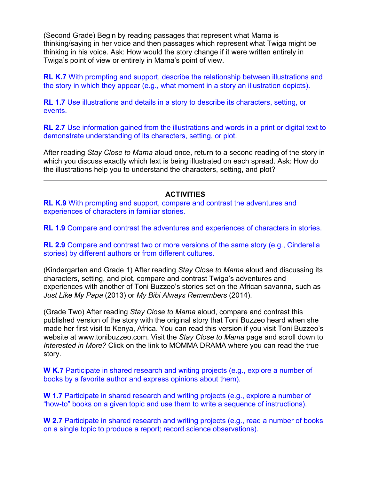(Second Grade) Begin by reading passages that represent what Mama is thinking/saying in her voice and then passages which represent what Twiga might be thinking in his voice. Ask: How would the story change if it were written entirely in Twiga's point of view or entirely in Mama's point of view.

**RL K.7** With prompting and support, describe the relationship between illustrations and the story in which they appear (e.g., what moment in a story an illustration depicts).

**RL 1.7** Use illustrations and details in a story to describe its characters, setting, or events.

**RL 2.7** Use information gained from the illustrations and words in a print or digital text to demonstrate understanding of its characters, setting, or plot.

After reading *Stay Close to Mama* aloud once, return to a second reading of the story in which you discuss exactly which text is being illustrated on each spread. Ask: How do the illustrations help you to understand the characters, setting, and plot?

## **ACTIVITIES**

**RL K.9** With prompting and support, compare and contrast the adventures and experiences of characters in familiar stories.

**RL 1.9** Compare and contrast the adventures and experiences of characters in stories.

**RL 2.9** Compare and contrast two or more versions of the same story (e.g., Cinderella stories) by different authors or from different cultures.

(Kindergarten and Grade 1) After reading *Stay Close to Mama* aloud and discussing its characters, setting, and plot, compare and contrast Twiga's adventures and experiences with another of Toni Buzzeo's stories set on the African savanna, such as *Just Like My Papa* (2013) or *My Bibi Always Remembers* (2014).

(Grade Two) After reading *Stay Close to Mama* aloud, compare and contrast this published version of the story with the original story that Toni Buzzeo heard when she made her first visit to Kenya, Africa. You can read this version if you visit Toni Buzzeo's website at www.tonibuzzeo.com. Visit the *Stay Close to Mama* page and scroll down to *Interested in More?* Click on the link to MOMMA DRAMA where you can read the true story.

**W K.7** Participate in shared research and writing projects (e.g., explore a number of books by a favorite author and express opinions about them).

**W 1.7** Participate in shared research and writing projects (e.g., explore a number of "how-to" books on a given topic and use them to write a sequence of instructions).

**W 2.7** Participate in shared research and writing projects (e.g., read a number of books on a single topic to produce a report; record science observations).